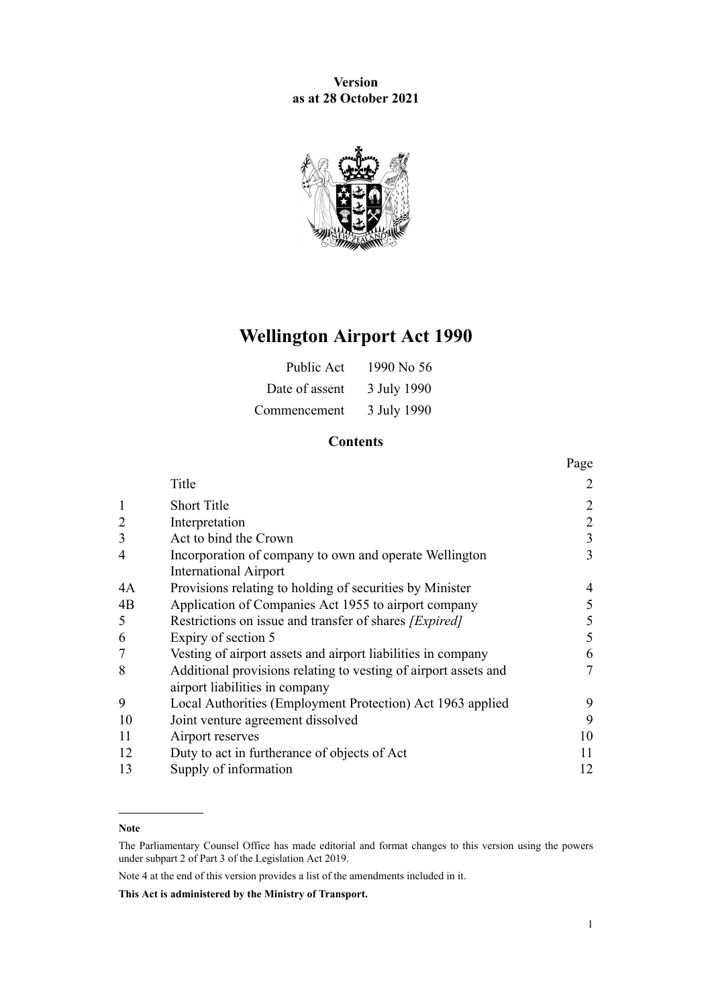**Version as at 28 October 2021**



# **Wellington Airport Act 1990**

| Public Act     | 1990 No 56  |
|----------------|-------------|
| Date of assent | 3 July 1990 |
| Commencement   | 3 July 1990 |

# **Contents**

|                |                                                                                                   | Page           |
|----------------|---------------------------------------------------------------------------------------------------|----------------|
|                | Title                                                                                             | 2              |
| 1              | <b>Short Title</b>                                                                                | $\overline{2}$ |
| $\overline{2}$ | Interpretation                                                                                    | $\overline{2}$ |
| 3              | Act to bind the Crown                                                                             | 3              |
| $\overline{4}$ | Incorporation of company to own and operate Wellington                                            | 3              |
|                | <b>International Airport</b>                                                                      |                |
| 4A             | Provisions relating to holding of securities by Minister                                          | 4              |
| 4B             | Application of Companies Act 1955 to airport company                                              | 5              |
| 5              | Restrictions on issue and transfer of shares [Expired]                                            | 5              |
| 6              | Expiry of section 5                                                                               | 5              |
| 7              | Vesting of airport assets and airport liabilities in company                                      | 6              |
| 8              | Additional provisions relating to vesting of airport assets and<br>airport liabilities in company | 7              |
| 9              | Local Authorities (Employment Protection) Act 1963 applied                                        | 9              |
| 10             | Joint venture agreement dissolved                                                                 | 9              |
| 11             | Airport reserves                                                                                  | 10             |
| 12             | Duty to act in furtherance of objects of Act                                                      | 11             |
| 13             | Supply of information                                                                             | 12             |

#### **Note**

Note 4 at the end of this version provides a list of the amendments included in it.

**This Act is administered by the Ministry of Transport.**

The Parliamentary Counsel Office has made editorial and format changes to this version using the powers under [subpart 2](http://legislation.govt.nz/pdflink.aspx?id=DLM7298371) of Part 3 of the Legislation Act 2019.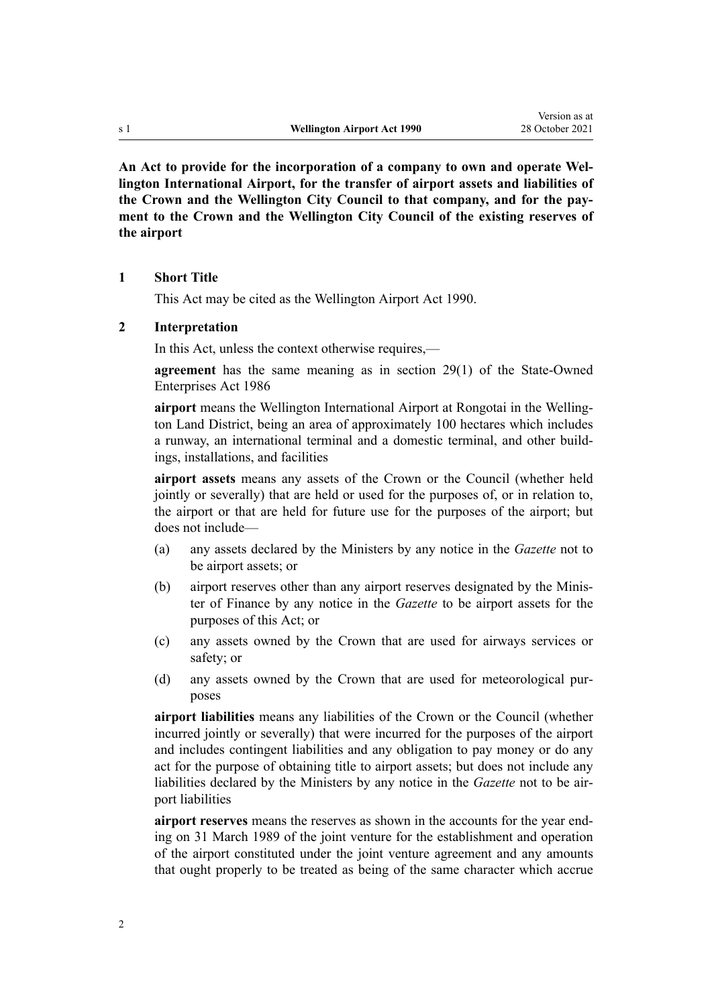<span id="page-1-0"></span>**An Act to provide for the incorporation of a company to own and operate Wel‐ lington International Airport, for the transfer of airport assets and liabilities of the Crown and the Wellington City Council to that company, and for the pay‐ ment to the Crown and the Wellington City Council of the existing reserves of the airport**

#### **1 Short Title**

This Act may be cited as the Wellington Airport Act 1990.

#### **2 Interpretation**

In this Act, unless the context otherwise requires,—

**agreement** has the same meaning as in [section 29\(1\)](http://legislation.govt.nz/pdflink.aspx?id=DLM98411) of the State-Owned Enterprises Act 1986

**airport** means the Wellington International Airport at Rongotai in the Welling‐ ton Land District, being an area of approximately 100 hectares which includes a runway, an international terminal and a domestic terminal, and other build‐ ings, installations, and facilities

**airport assets** means any assets of the Crown or the Council (whether held jointly or severally) that are held or used for the purposes of, or in relation to, the airport or that are held for future use for the purposes of the airport; but does not include—

- (a) any assets declared by the Ministers by any notice in the *Gazette* not to be airport assets; or
- (b) airport reserves other than any airport reserves designated by the Minis‐ ter of Finance by any notice in the *Gazette* to be airport assets for the purposes of this Act; or
- (c) any assets owned by the Crown that are used for airways services or safety; or
- (d) any assets owned by the Crown that are used for meteorological pur‐ poses

**airport liabilities** means any liabilities of the Crown or the Council (whether incurred jointly or severally) that were incurred for the purposes of the airport and includes contingent liabilities and any obligation to pay money or do any act for the purpose of obtaining title to airport assets; but does not include any liabilities declared by the Ministers by any notice in the *Gazette* not to be air‐ port liabilities

**airport reserves** means the reserves as shown in the accounts for the year end‐ ing on 31 March 1989 of the joint venture for the establishment and operation of the airport constituted under the joint venture agreement and any amounts that ought properly to be treated as being of the same character which accrue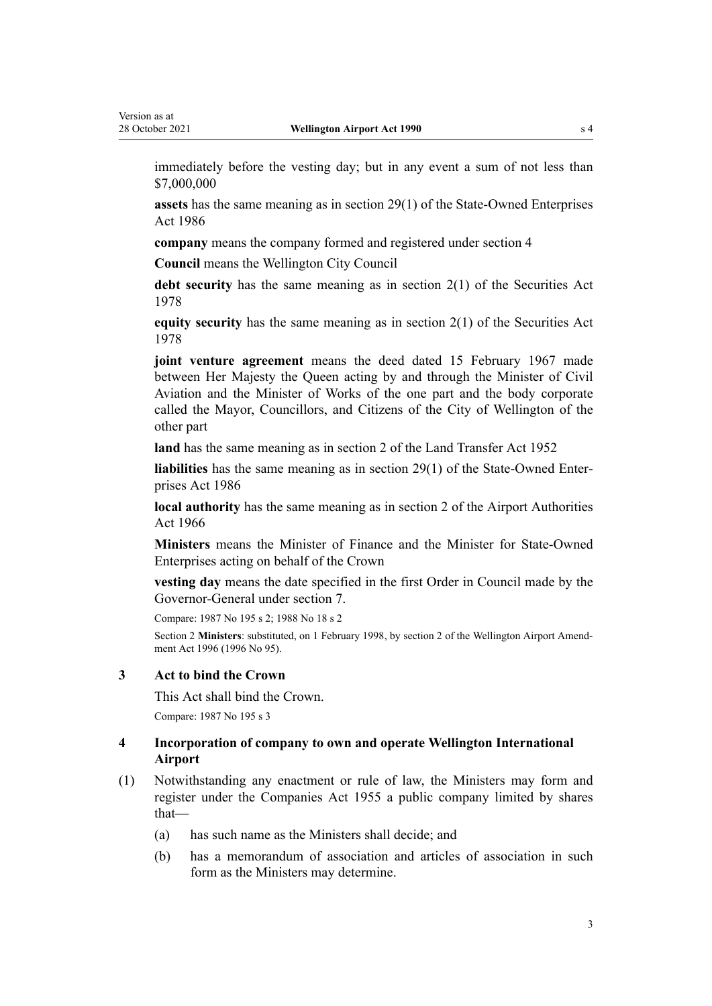<span id="page-2-0"></span>immediately before the vesting day; but in any event a sum of not less than \$7,000,000

**assets** has the same meaning as in [section 29\(1\)](http://legislation.govt.nz/pdflink.aspx?id=DLM98411) of the State-Owned Enterprises Act 1986

**company** means the company formed and registered under section 4

**Council** means the Wellington City Council

**debt security** has the same meaning as in [section 2\(1\)](http://legislation.govt.nz/pdflink.aspx?id=DLM26805) of the Securities Act 1978

**equity security** has the same meaning as in [section 2\(1\)](http://legislation.govt.nz/pdflink.aspx?id=DLM26805) of the Securities Act 1978

**joint venture agreement** means the deed dated 15 February 1967 made between Her Majesty the Queen acting by and through the Minister of Civil Aviation and the Minister of Works of the one part and the body corporate called the Mayor, Councillors, and Citizens of the City of Wellington of the other part

**land** has the same meaning as in [section 2](http://legislation.govt.nz/pdflink.aspx?id=DLM269037) of the Land Transfer Act 1952

**liabilities** has the same meaning as in [section 29\(1\)](http://legislation.govt.nz/pdflink.aspx?id=DLM98411) of the State-Owned Enter‐ prises Act 1986

**local authority** has the same meaning as in [section 2](http://legislation.govt.nz/pdflink.aspx?id=DLM379829) of the Airport Authorities Act 1966

**Ministers** means the Minister of Finance and the Minister for State-Owned Enterprises acting on behalf of the Crown

**vesting day** means the date specified in the first Order in Council made by the Governor-General under [section 7](#page-5-0).

Compare: 1987 No 195 [s 2](http://legislation.govt.nz/pdflink.aspx?id=DLM125376); 1988 No 18 s 2

Section 2 **Ministers**: substituted, on 1 February 1998, by [section 2](http://legislation.govt.nz/pdflink.aspx?id=DLM403241) of the Wellington Airport Amend‐ ment Act 1996 (1996 No 95).

# **3 Act to bind the Crown**

This Act shall bind the Crown. Compare: 1987 No 195 [s 3](http://legislation.govt.nz/pdflink.aspx?id=DLM125616)

# **4 Incorporation of company to own and operate Wellington International Airport**

- (1) Notwithstanding any enactment or rule of law, the Ministers may form and register under the Companies Act 1955 a public company limited by shares that—
	- (a) has such name as the Ministers shall decide; and
	- (b) has a memorandum of association and articles of association in such form as the Ministers may determine.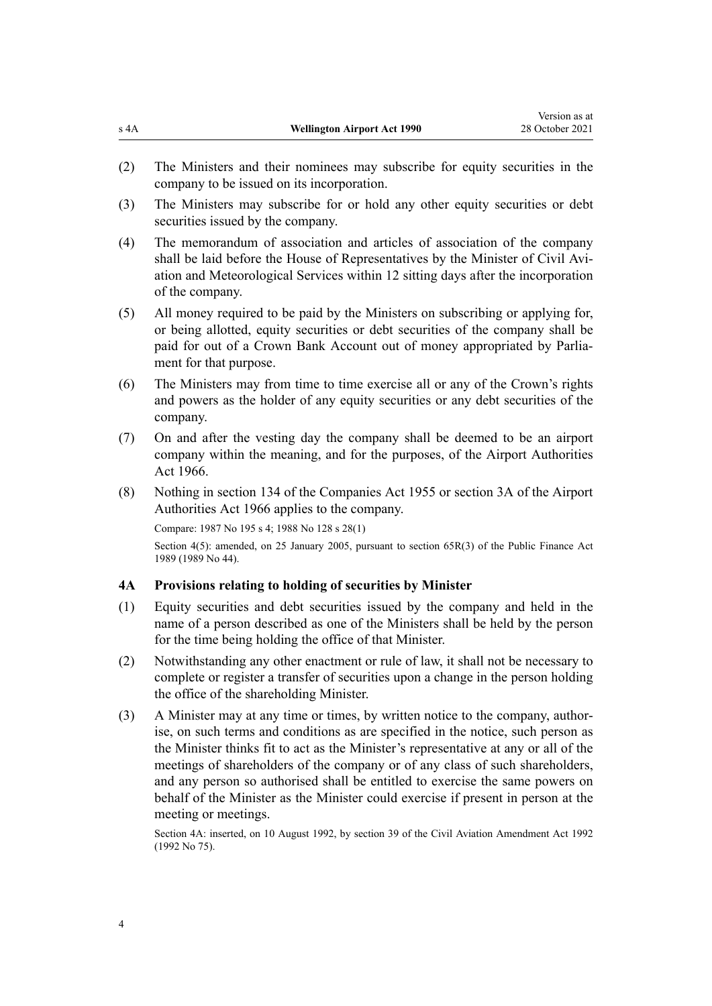- <span id="page-3-0"></span>(2) The Ministers and their nominees may subscribe for equity securities in the company to be issued on its incorporation.
- (3) The Ministers may subscribe for or hold any other equity securities or debt securities issued by the company.
- (4) The memorandum of association and articles of association of the company shall be laid before the House of Representatives by the Minister of Civil Aviation and Meteorological Services within 12 sitting days after the incorporation of the company.
- (5) All money required to be paid by the Ministers on subscribing or applying for, or being allotted, equity securities or debt securities of the company shall be paid for out of a Crown Bank Account out of money appropriated by Parliament for that purpose.
- (6) The Ministers may from time to time exercise all or any of the Crown's rights and powers as the holder of any equity securities or any debt securities of the company.
- (7) On and after the vesting day the company shall be deemed to be an airport company within the meaning, and for the purposes, of the [Airport Authorities](http://legislation.govt.nz/pdflink.aspx?id=DLM379823) [Act 1966.](http://legislation.govt.nz/pdflink.aspx?id=DLM379823)
- (8) Nothing in section 134 of the Companies Act 1955 or [section 3A](http://legislation.govt.nz/pdflink.aspx?id=DLM379886) of the Airport Authorities Act 1966 applies to the company.

Compare: 1987 No 195 [s 4](http://legislation.govt.nz/pdflink.aspx?id=DLM125617); 1988 No 128 [s 28\(1\)](http://legislation.govt.nz/pdflink.aspx?id=DLM136193)

Section 4(5): amended, on 25 January 2005, pursuant to [section 65R\(3\)](http://legislation.govt.nz/pdflink.aspx?id=DLM162942) of the Public Finance Act 1989 (1989 No 44).

# **4A Provisions relating to holding of securities by Minister**

- (1) Equity securities and debt securities issued by the company and held in the name of a person described as one of the Ministers shall be held by the person for the time being holding the office of that Minister.
- (2) Notwithstanding any other enactment or rule of law, it shall not be necessary to complete or register a transfer of securities upon a change in the person holding the office of the shareholding Minister.
- (3) A Minister may at any time or times, by written notice to the company, author‐ ise, on such terms and conditions as are specified in the notice, such person as the Minister thinks fit to act as the Minister's representative at any or all of the meetings of shareholders of the company or of any class of such shareholders, and any person so authorised shall be entitled to exercise the same powers on behalf of the Minister as the Minister could exercise if present in person at the meeting or meetings.

Section 4A: inserted, on 10 August 1992, by [section 39](http://legislation.govt.nz/pdflink.aspx?id=DLM269410) of the Civil Aviation Amendment Act 1992 (1992 No 75).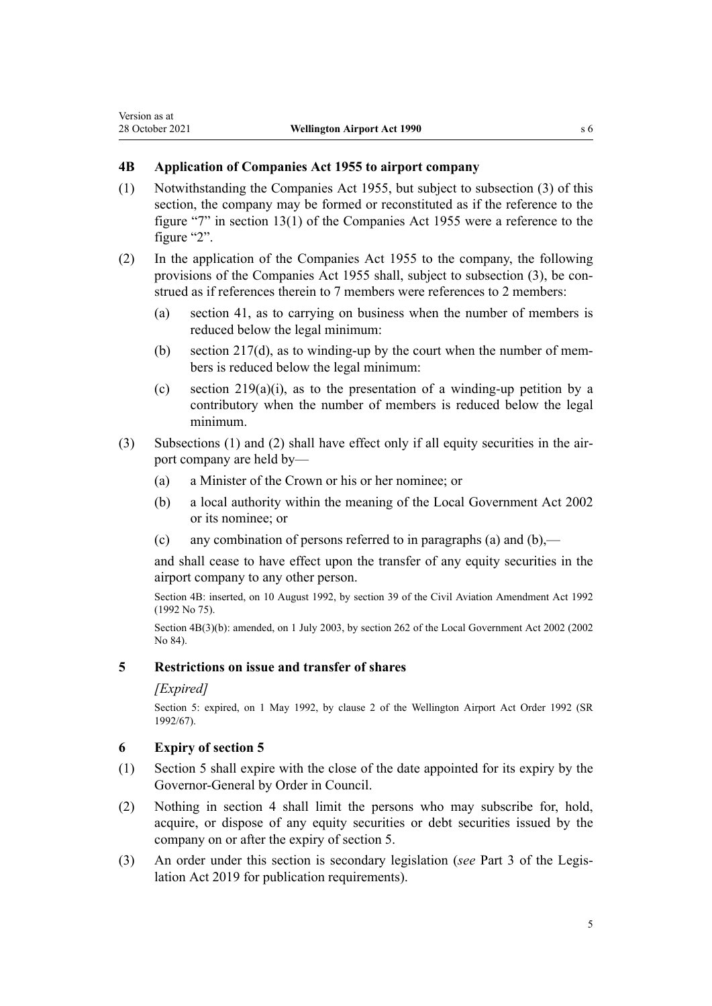# <span id="page-4-0"></span>**4B Application of Companies Act 1955 to airport company**

- (1) Notwithstanding the Companies Act 1955, but subject to subsection (3) of this section, the company may be formed or reconstituted as if the reference to the figure "7" in section 13(1) of the Companies Act 1955 were a reference to the figure "2".
- (2) In the application of the Companies Act 1955 to the company, the following provisions of the Companies Act 1955 shall, subject to subsection (3), be construed as if references therein to 7 members were references to 2 members:
	- (a) section 41, as to carrying on business when the number of members is reduced below the legal minimum:
	- (b) section  $217(d)$ , as to winding-up by the court when the number of members is reduced below the legal minimum:
	- (c) section  $219(a)(i)$ , as to the presentation of a winding-up petition by a contributory when the number of members is reduced below the legal minimum.
- (3) Subsections (1) and (2) shall have effect only if all equity securities in the air‐ port company are held by—
	- (a) a Minister of the Crown or his or her nominee; or
	- (b) a local authority within the meaning of the [Local Government Act 2002](http://legislation.govt.nz/pdflink.aspx?id=DLM170872) or its nominee; or
	- (c) any combination of persons referred to in paragraphs (a) and  $(b)$ ,—

and shall cease to have effect upon the transfer of any equity securities in the airport company to any other person.

Section 4B: inserted, on 10 August 1992, by [section 39](http://legislation.govt.nz/pdflink.aspx?id=DLM269410) of the Civil Aviation Amendment Act 1992 (1992 No 75).

Section 4B(3)(b): amended, on 1 July 2003, by [section 262](http://legislation.govt.nz/pdflink.aspx?id=DLM174088) of the Local Government Act 2002 (2002 No 84).

# **5 Restrictions on issue and transfer of shares**

#### *[Expired]*

Section 5: expired, on 1 May 1992, by [clause 2](http://legislation.govt.nz/pdflink.aspx?id=DLM153834) of the Wellington Airport Act Order 1992 (SR 1992/67).

# **6 Expiry of section 5**

- (1) Section 5 shall expire with the close of the date appointed for its expiry by the Governor-General by Order in Council.
- (2) Nothing in [section 4](#page-2-0) shall limit the persons who may subscribe for, hold, acquire, or dispose of any equity securities or debt securities issued by the company on or after the expiry of section 5.
- (3) An order under this section is secondary legislation (*see* [Part 3](http://legislation.govt.nz/pdflink.aspx?id=DLM7298343) of the Legis‐ lation Act 2019 for publication requirements).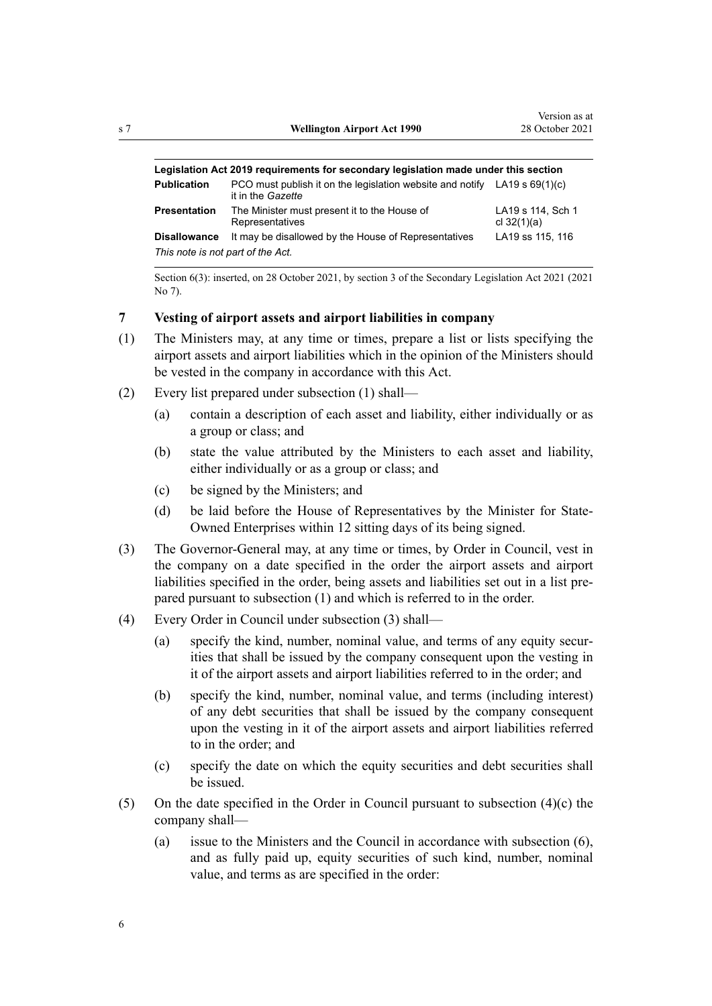<span id="page-5-0"></span>

| Legislation Act 2019 requirements for secondary legislation made under this section |                                                                                                  |                                    |  |
|-------------------------------------------------------------------------------------|--------------------------------------------------------------------------------------------------|------------------------------------|--|
| <b>Publication</b>                                                                  | PCO must publish it on the legislation website and notify LA19 s $69(1)(c)$<br>it in the Gazette |                                    |  |
| Presentation                                                                        | The Minister must present it to the House of<br>Representatives                                  | LA19 s 114, Sch 1<br>cl $32(1)(a)$ |  |
| <b>Disallowance</b><br>This note is not part of the Act.                            | It may be disallowed by the House of Representatives                                             | LA19 ss 115, 116                   |  |

Section 6(3): inserted, on 28 October 2021, by [section 3](http://legislation.govt.nz/pdflink.aspx?id=LMS268932) of the Secondary Legislation Act 2021 (2021 No 7).

# **7 Vesting of airport assets and airport liabilities in company**

- (1) The Ministers may, at any time or times, prepare a list or lists specifying the airport assets and airport liabilities which in the opinion of the Ministers should be vested in the company in accordance with this Act.
- (2) Every list prepared under subsection (1) shall—
	- (a) contain a description of each asset and liability, either individually or as a group or class; and
	- (b) state the value attributed by the Ministers to each asset and liability, either individually or as a group or class; and
	- (c) be signed by the Ministers; and
	- (d) be laid before the House of Representatives by the Minister for State-Owned Enterprises within 12 sitting days of its being signed.
- (3) The Governor-General may, at any time or times, by Order in Council, vest in the company on a date specified in the order the airport assets and airport liabilities specified in the order, being assets and liabilities set out in a list pre‐ pared pursuant to subsection (1) and which is referred to in the order.
- (4) Every Order in Council under subsection (3) shall—
	- (a) specify the kind, number, nominal value, and terms of any equity securities that shall be issued by the company consequent upon the vesting in it of the airport assets and airport liabilities referred to in the order; and
	- (b) specify the kind, number, nominal value, and terms (including interest) of any debt securities that shall be issued by the company consequent upon the vesting in it of the airport assets and airport liabilities referred to in the order; and
	- (c) specify the date on which the equity securities and debt securities shall be issued.
- (5) On the date specified in the Order in Council pursuant to subsection (4)(c) the company shall—
	- (a) issue to the Ministers and the Council in accordance with subsection (6), and as fully paid up, equity securities of such kind, number, nominal value, and terms as are specified in the order: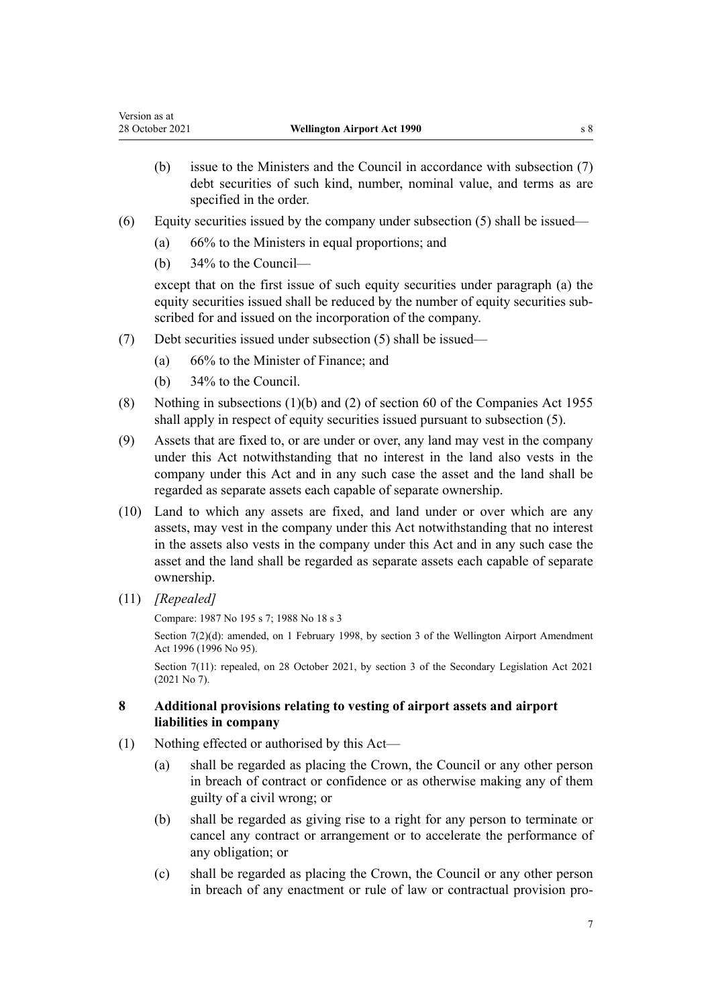- <span id="page-6-0"></span>(b) issue to the Ministers and the Council in accordance with subsection (7) debt securities of such kind, number, nominal value, and terms as are specified in the order.
- (6) Equity securities issued by the company under subsection (5) shall be issued—
	- (a) 66% to the Ministers in equal proportions; and
	- (b) 34% to the Council—

except that on the first issue of such equity securities under paragraph (a) the equity securities issued shall be reduced by the number of equity securities sub‐ scribed for and issued on the incorporation of the company.

- (7) Debt securities issued under subsection (5) shall be issued—
	- (a) 66% to the Minister of Finance; and
	- (b) 34% to the Council.
- (8) Nothing in subsections (1)(b) and (2) of section 60 of the Companies Act 1955 shall apply in respect of equity securities issued pursuant to subsection (5).
- (9) Assets that are fixed to, or are under or over, any land may vest in the company under this Act notwithstanding that no interest in the land also vests in the company under this Act and in any such case the asset and the land shall be regarded as separate assets each capable of separate ownership.
- (10) Land to which any assets are fixed, and land under or over which are any assets, may vest in the company under this Act notwithstanding that no interest in the assets also vests in the company under this Act and in any such case the asset and the land shall be regarded as separate assets each capable of separate ownership.
- (11) *[Repealed]*

Compare: 1987 No 195 [s 7](http://legislation.govt.nz/pdflink.aspx?id=DLM125631); 1988 No 18 s 3

Section 7(2)(d): amended, on 1 February 1998, by [section 3](http://legislation.govt.nz/pdflink.aspx?id=DLM403242) of the Wellington Airport Amendment Act 1996 (1996 No 95).

Section 7(11): repealed, on 28 October 2021, by [section 3](http://legislation.govt.nz/pdflink.aspx?id=LMS268932) of the Secondary Legislation Act 2021 (2021 No 7).

# **8 Additional provisions relating to vesting of airport assets and airport liabilities in company**

- (1) Nothing effected or authorised by this Act—
	- (a) shall be regarded as placing the Crown, the Council or any other person in breach of contract or confidence or as otherwise making any of them guilty of a civil wrong; or
	- (b) shall be regarded as giving rise to a right for any person to terminate or cancel any contract or arrangement or to accelerate the performance of any obligation; or
	- (c) shall be regarded as placing the Crown, the Council or any other person in breach of any enactment or rule of law or contractual provision pro‐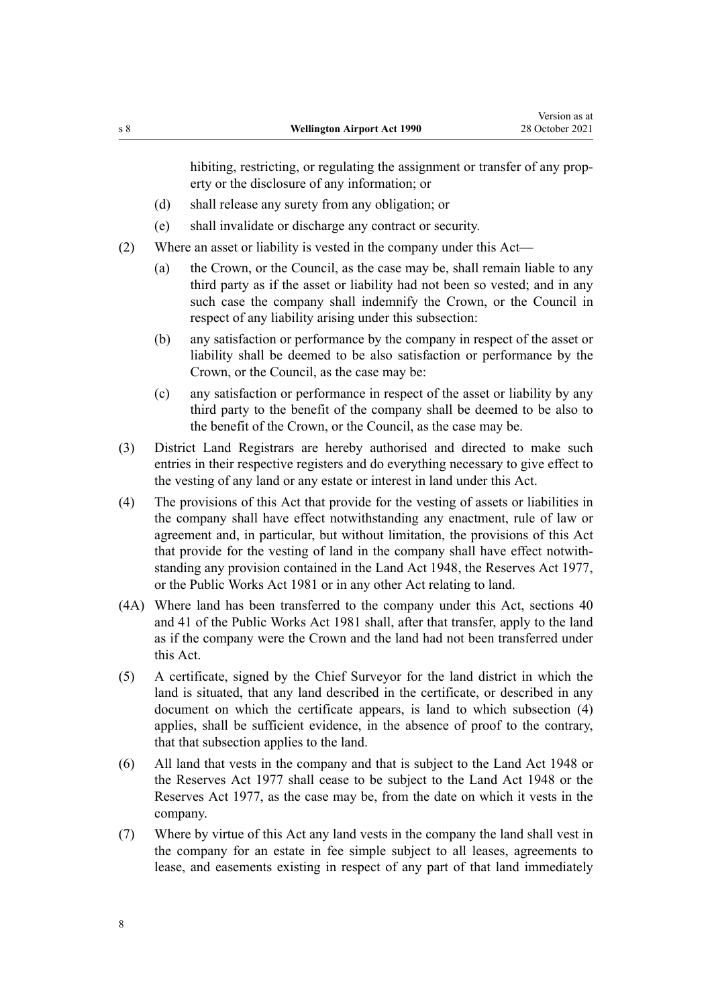hibiting, restricting, or regulating the assignment or transfer of any property or the disclosure of any information; or

- (d) shall release any surety from any obligation; or
- (e) shall invalidate or discharge any contract or security.
- (2) Where an asset or liability is vested in the company under this Act—
	- (a) the Crown, or the Council, as the case may be, shall remain liable to any third party as if the asset or liability had not been so vested; and in any such case the company shall indemnify the Crown, or the Council in respect of any liability arising under this subsection:
	- (b) any satisfaction or performance by the company in respect of the asset or liability shall be deemed to be also satisfaction or performance by the Crown, or the Council, as the case may be:
	- (c) any satisfaction or performance in respect of the asset or liability by any third party to the benefit of the company shall be deemed to be also to the benefit of the Crown, or the Council, as the case may be.
- (3) District Land Registrars are hereby authorised and directed to make such entries in their respective registers and do everything necessary to give effect to the vesting of any land or any estate or interest in land under this Act.
- (4) The provisions of this Act that provide for the vesting of assets or liabilities in the company shall have effect notwithstanding any enactment, rule of law or agreement and, in particular, but without limitation, the provisions of this Act that provide for the vesting of land in the company shall have effect notwith‐ standing any provision contained in the [Land Act 1948](http://legislation.govt.nz/pdflink.aspx?id=DLM250585), the [Reserves Act 1977](http://legislation.govt.nz/pdflink.aspx?id=DLM444304), or the [Public Works Act 1981](http://legislation.govt.nz/pdflink.aspx?id=DLM45426) or in any other Act relating to land.
- (4A) Where land has been transferred to the company under this Act, [sections 40](http://legislation.govt.nz/pdflink.aspx?id=DLM46055) and [41](http://legislation.govt.nz/pdflink.aspx?id=DLM46068) of the Public Works Act 1981 shall, after that transfer, apply to the land as if the company were the Crown and the land had not been transferred under this Act.
- (5) A certificate, signed by the Chief Surveyor for the land district in which the land is situated, that any land described in the certificate, or described in any document on which the certificate appears, is land to which subsection (4) applies, shall be sufficient evidence, in the absence of proof to the contrary, that that subsection applies to the land.
- (6) All land that vests in the company and that is subject to the [Land Act 1948](http://legislation.govt.nz/pdflink.aspx?id=DLM250585) or the [Reserves Act 1977](http://legislation.govt.nz/pdflink.aspx?id=DLM444304) shall cease to be subject to the [Land Act 1948](http://legislation.govt.nz/pdflink.aspx?id=DLM250585) or the [Reserves Act 1977,](http://legislation.govt.nz/pdflink.aspx?id=DLM444304) as the case may be, from the date on which it vests in the company.
- (7) Where by virtue of this Act any land vests in the company the land shall vest in the company for an estate in fee simple subject to all leases, agreements to lease, and easements existing in respect of any part of that land immediately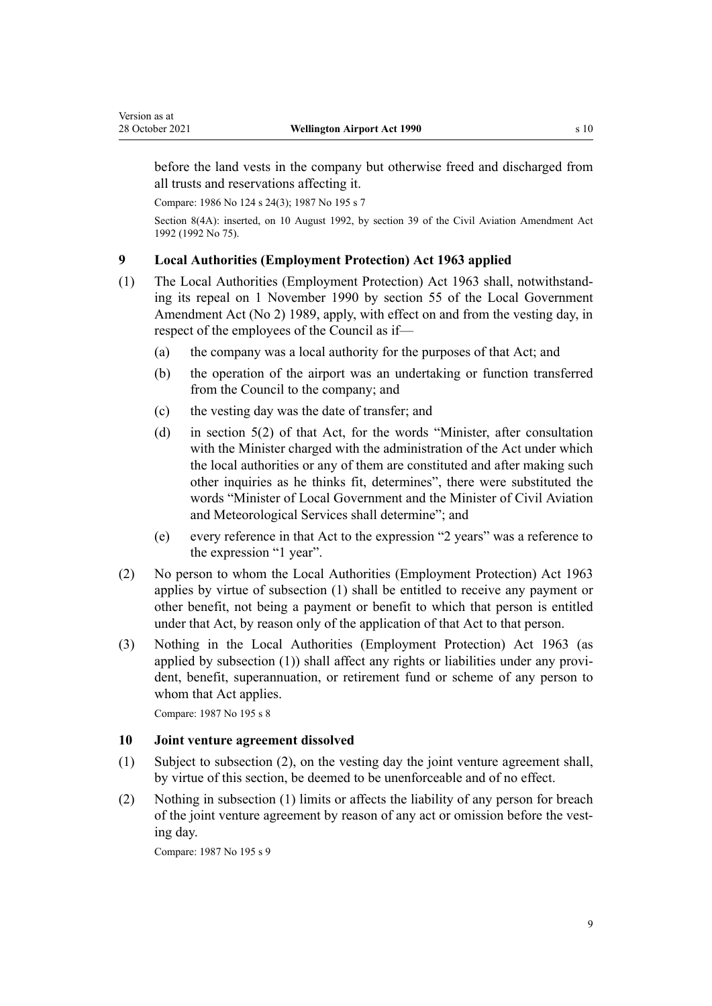<span id="page-8-0"></span>before the land vests in the company but otherwise freed and discharged from all trusts and reservations affecting it.

Compare: 1986 No 124 [s 24\(3\)](http://legislation.govt.nz/pdflink.aspx?id=DLM98075); 1987 No 195 [s 7](http://legislation.govt.nz/pdflink.aspx?id=DLM125631)

Section 8(4A): inserted, on 10 August 1992, by [section 39](http://legislation.govt.nz/pdflink.aspx?id=DLM269410) of the Civil Aviation Amendment Act 1992 (1992 No 75).

# **9 Local Authorities (Employment Protection) Act 1963 applied**

- (1) The Local Authorities (Employment Protection) Act 1963 shall, notwithstand‐ ing its repeal on 1 November 1990 by [section 55](http://legislation.govt.nz/pdflink.aspx?id=DLM159287) of the Local Government Amendment Act (No 2) 1989, apply, with effect on and from the vesting day, in respect of the employees of the Council as if—
	- (a) the company was a local authority for the purposes of that Act; and
	- (b) the operation of the airport was an undertaking or function transferred from the Council to the company; and
	- (c) the vesting day was the date of transfer; and
	- (d) in section 5(2) of that Act, for the words "Minister, after consultation with the Minister charged with the administration of the Act under which the local authorities or any of them are constituted and after making such other inquiries as he thinks fit, determines", there were substituted the words "Minister of Local Government and the Minister of Civil Aviation and Meteorological Services shall determine"; and
	- (e) every reference in that Act to the expression "2 years" was a reference to the expression "1 year".
- (2) No person to whom the Local Authorities (Employment Protection) Act 1963 applies by virtue of subsection (1) shall be entitled to receive any payment or other benefit, not being a payment or benefit to which that person is entitled under that Act, by reason only of the application of that Act to that person.
- (3) Nothing in the Local Authorities (Employment Protection) Act 1963 (as applied by subsection (1)) shall affect any rights or liabilities under any provi‐ dent, benefit, superannuation, or retirement fund or scheme of any person to whom that Act applies.

Compare: 1987 No 195 [s 8](http://legislation.govt.nz/pdflink.aspx?id=DLM125633)

#### **10 Joint venture agreement dissolved**

- (1) Subject to subsection (2), on the vesting day the joint venture agreement shall, by virtue of this section, be deemed to be unenforceable and of no effect.
- (2) Nothing in subsection (1) limits or affects the liability of any person for breach of the joint venture agreement by reason of any act or omission before the vesting day.

Compare: 1987 No 195 [s 9](http://legislation.govt.nz/pdflink.aspx?id=DLM125634)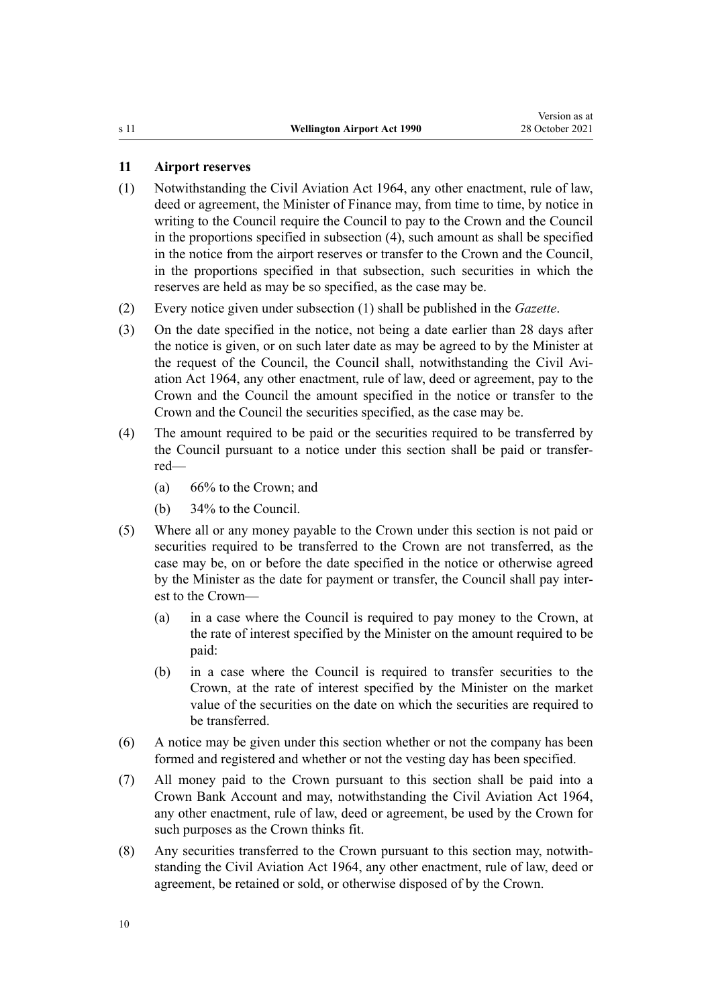# <span id="page-9-0"></span>**11 Airport reserves**

- (1) Notwithstanding the Civil Aviation Act 1964, any other enactment, rule of law, deed or agreement, the Minister of Finance may, from time to time, by notice in writing to the Council require the Council to pay to the Crown and the Council in the proportions specified in subsection (4), such amount as shall be specified in the notice from the airport reserves or transfer to the Crown and the Council, in the proportions specified in that subsection, such securities in which the reserves are held as may be so specified, as the case may be.
- (2) Every notice given under subsection (1) shall be published in the *Gazette*.
- (3) On the date specified in the notice, not being a date earlier than 28 days after the notice is given, or on such later date as may be agreed to by the Minister at the request of the Council, the Council shall, notwithstanding the Civil Aviation Act 1964, any other enactment, rule of law, deed or agreement, pay to the Crown and the Council the amount specified in the notice or transfer to the Crown and the Council the securities specified, as the case may be.
- (4) The amount required to be paid or the securities required to be transferred by the Council pursuant to a notice under this section shall be paid or transfer‐ red—
	- (a) 66% to the Crown; and
	- (b) 34% to the Council.
- (5) Where all or any money payable to the Crown under this section is not paid or securities required to be transferred to the Crown are not transferred, as the case may be, on or before the date specified in the notice or otherwise agreed by the Minister as the date for payment or transfer, the Council shall pay inter‐ est to the Crown—
	- (a) in a case where the Council is required to pay money to the Crown, at the rate of interest specified by the Minister on the amount required to be paid:
	- (b) in a case where the Council is required to transfer securities to the Crown, at the rate of interest specified by the Minister on the market value of the securities on the date on which the securities are required to be transferred.
- (6) A notice may be given under this section whether or not the company has been formed and registered and whether or not the vesting day has been specified.
- (7) All money paid to the Crown pursuant to this section shall be paid into a Crown Bank Account and may, notwithstanding the Civil Aviation Act 1964, any other enactment, rule of law, deed or agreement, be used by the Crown for such purposes as the Crown thinks fit.
- (8) Any securities transferred to the Crown pursuant to this section may, notwith‐ standing the Civil Aviation Act 1964, any other enactment, rule of law, deed or agreement, be retained or sold, or otherwise disposed of by the Crown.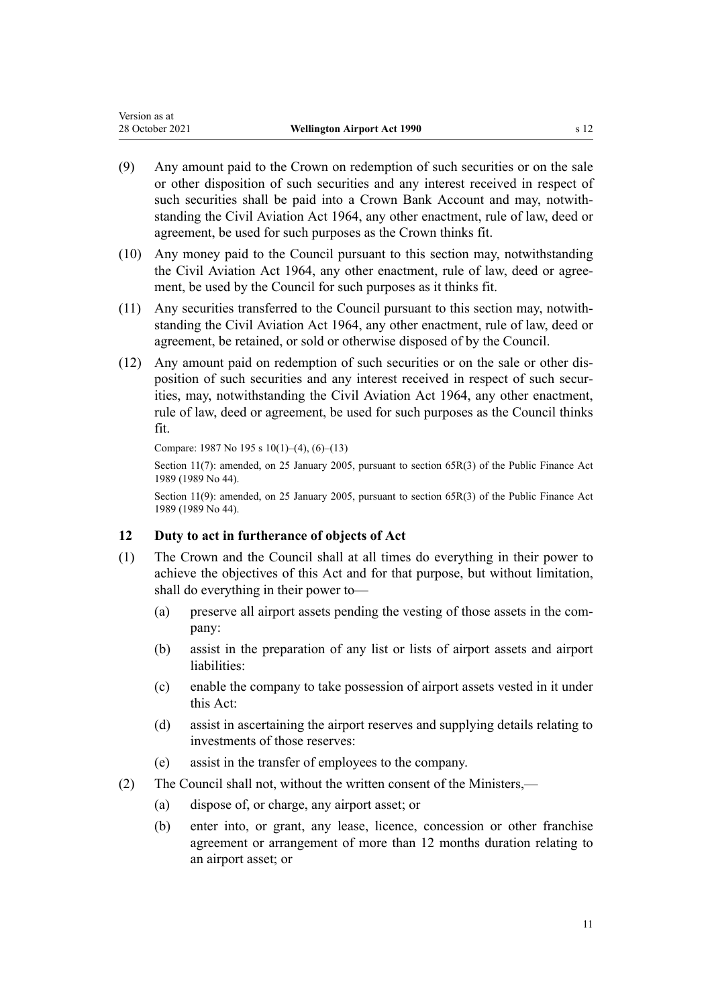- <span id="page-10-0"></span>(9) Any amount paid to the Crown on redemption of such securities or on the sale or other disposition of such securities and any interest received in respect of such securities shall be paid into a Crown Bank Account and may, notwithstanding the Civil Aviation Act 1964, any other enactment, rule of law, deed or agreement, be used for such purposes as the Crown thinks fit.
- (10) Any money paid to the Council pursuant to this section may, notwithstanding the Civil Aviation Act 1964, any other enactment, rule of law, deed or agreement, be used by the Council for such purposes as it thinks fit.
- (11) Any securities transferred to the Council pursuant to this section may, notwith‐ standing the Civil Aviation Act 1964, any other enactment, rule of law, deed or agreement, be retained, or sold or otherwise disposed of by the Council.
- (12) Any amount paid on redemption of such securities or on the sale or other dis‐ position of such securities and any interest received in respect of such securities, may, notwithstanding the Civil Aviation Act 1964, any other enactment, rule of law, deed or agreement, be used for such purposes as the Council thinks fit.

```
Compare: 1987 No 195 s 10(1)–(4), (6)–(13)
```
Section 11(7): amended, on 25 January 2005, pursuant to [section 65R\(3\)](http://legislation.govt.nz/pdflink.aspx?id=DLM162942) of the Public Finance Act 1989 (1989 No 44).

Section 11(9): amended, on 25 January 2005, pursuant to [section 65R\(3\)](http://legislation.govt.nz/pdflink.aspx?id=DLM162942) of the Public Finance Act 1989 (1989 No 44).

# **12 Duty to act in furtherance of objects of Act**

- (1) The Crown and the Council shall at all times do everything in their power to achieve the objectives of this Act and for that purpose, but without limitation, shall do everything in their power to—
	- (a) preserve all airport assets pending the vesting of those assets in the com‐ pany:
	- (b) assist in the preparation of any list or lists of airport assets and airport liabilities:
	- (c) enable the company to take possession of airport assets vested in it under this Act:
	- (d) assist in ascertaining the airport reserves and supplying details relating to investments of those reserves:
	- (e) assist in the transfer of employees to the company.
- (2) The Council shall not, without the written consent of the Ministers,—
	- (a) dispose of, or charge, any airport asset; or
	- (b) enter into, or grant, any lease, licence, concession or other franchise agreement or arrangement of more than 12 months duration relating to an airport asset; or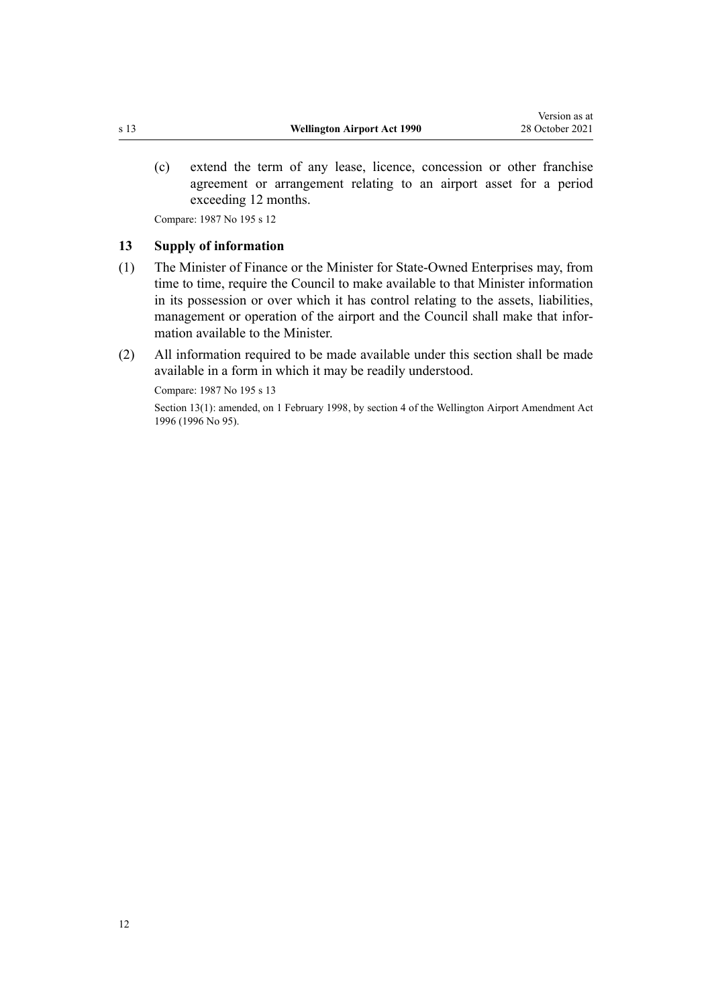<span id="page-11-0"></span>(c) extend the term of any lease, licence, concession or other franchise agreement or arrangement relating to an airport asset for a period exceeding 12 months.

Compare: 1987 No 195 [s 12](http://legislation.govt.nz/pdflink.aspx?id=DLM125640)

# **13 Supply of information**

- (1) The Minister of Finance or the Minister for State-Owned Enterprises may, from time to time, require the Council to make available to that Minister information in its possession or over which it has control relating to the assets, liabilities, management or operation of the airport and the Council shall make that information available to the Minister.
- (2) All information required to be made available under this section shall be made available in a form in which it may be readily understood.

Compare: 1987 No 195 [s 13](http://legislation.govt.nz/pdflink.aspx?id=DLM125641)

Section 13(1): amended, on 1 February 1998, by [section 4](http://legislation.govt.nz/pdflink.aspx?id=DLM403243) of the Wellington Airport Amendment Act 1996 (1996 No 95).